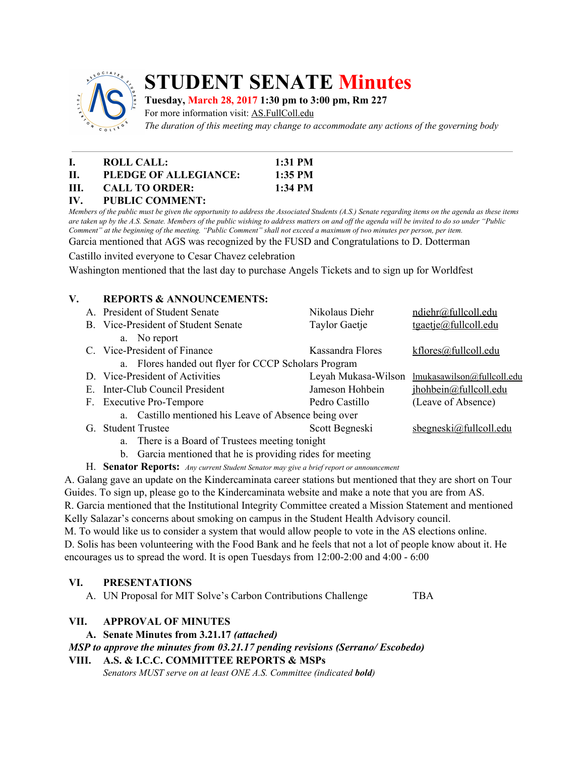

# **STUDENT SENATE Minutes**

## **Tuesday, March 28, 2017 1:30 pm to 3:00 pm, Rm 227**

For more information visit: AS.FullColl.edu

*The duration of this meeting may change to accommodate any actions of the governing body*

|      | ROLL CALL:            | $1:31$ PM |
|------|-----------------------|-----------|
| H.   | PLEDGE OF ALLEGIANCE: | $1:35$ PM |
| III. | <b>CALL TO ORDER:</b> | 1:34 PM   |
|      |                       |           |

#### **IV. PUBLIC COMMENT:**

Members of the public must be given the opportunity to address the Associated Students (A.S.) Senate regarding items on the agenda as these items are taken up by the A.S. Senate. Members of the public wishing to address matters on and off the agenda will be invited to do so under "Public Comment" at the beginning of the meeting. "Public Comment" shall not exceed a maximum of two minutes per person, per item.

Garcia mentioned that AGS was recognized by the FUSD and Congratulations to D. Dotterman

Castillo invited everyone to Cesar Chavez celebration

Washington mentioned that the last day to purchase Angels Tickets and to sign up for Worldfest

# **V. REPORTS & ANNOUNCEMENTS:**

|                                                       | A. President of Student Senate                  | Nikolaus Diehr       | ndiehr@fullcoll.edu        |  |  |
|-------------------------------------------------------|-------------------------------------------------|----------------------|----------------------------|--|--|
|                                                       | B. Vice-President of Student Senate             | <b>Taylor Gaetje</b> | $t$ gaetje@fullcoll.edu    |  |  |
|                                                       | a. No report                                    |                      |                            |  |  |
|                                                       | C. Vice-President of Finance                    | Kassandra Flores     | kflores@fullcoll.edu       |  |  |
| a. Flores handed out flyer for CCCP Scholars Program  |                                                 |                      |                            |  |  |
|                                                       | D. Vice-President of Activities                 | Leyah Mukasa-Wilson  | lmukasawilson@fullcoll.edu |  |  |
|                                                       | E. Inter-Club Council President                 | Jameson Hohbein      | jhohbein@fullcoll.edu      |  |  |
|                                                       | F. Executive Pro-Tempore                        | Pedro Castillo       | (Leave of Absence)         |  |  |
| a. Castillo mentioned his Leave of Absence being over |                                                 |                      |                            |  |  |
| G.                                                    | <b>Student Trustee</b>                          | Scott Begneski       | $s$ begneski@fullcoll.edu  |  |  |
|                                                       | a. There is a Board of Trustees meeting tonight |                      |                            |  |  |
|                                                       |                                                 |                      |                            |  |  |

- b. Garcia mentioned that he is providing rides for meeting
- H. **Senator Reports:** *Any current Student Senator may give <sup>a</sup> brief report or announcement*

A. Galang gave an update on the Kindercaminata career stations but mentioned that they are short on Tour Guides. To sign up, please go to the Kindercaminata website and make a note that you are from AS. R. Garcia mentioned that the Institutional Integrity Committee created a Mission Statement and mentioned Kelly Salazar's concerns about smoking on campus in the Student Health Advisory council.

M. To would like us to consider a system that would allow people to vote in the AS elections online. D. Solis has been volunteering with the Food Bank and he feels that not a lot of people know about it. He encourages us to spread the word. It is open Tuesdays from 12:00-2:00 and 4:00 - 6:00

## **VI. PRESENTATIONS**

A. UN Proposal for MIT Solve's Carbon Contributions Challenge TBA

## **VII. APPROVAL OF MINUTES**

**A. Senate Minutes from 3.21.17** *(attached)*

*MSP to approve the minutes from 03.21.17 pending revisions (Serrano/ Escobedo)*

#### **VIII. A.S. & I.C.C. COMMITTEE REPORTS & MSPs**

*Senators MUST serve on at least ONE A.S. Committee (indicated bold)*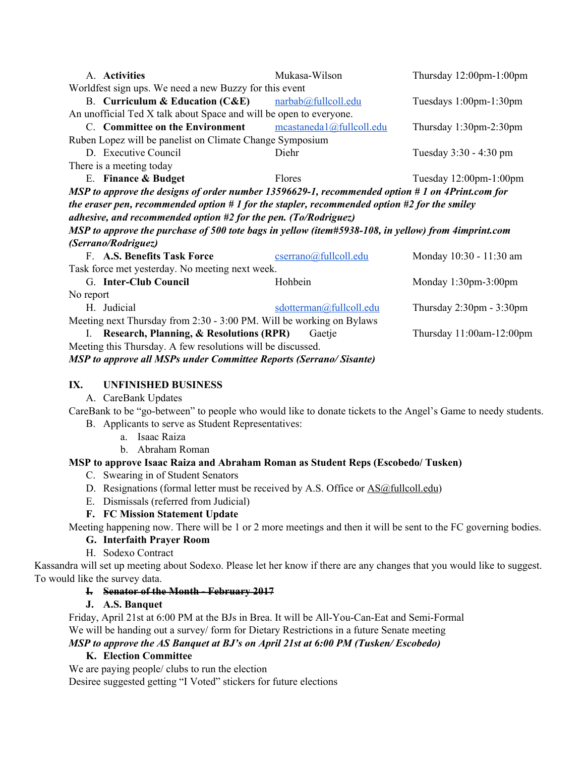| A. Activities                                                                                       | Mukasa-Wilson            | Thursday 12:00pm-1:00pm                    |  |  |  |  |
|-----------------------------------------------------------------------------------------------------|--------------------------|--------------------------------------------|--|--|--|--|
| Worldfest sign ups. We need a new Buzzy for this event                                              |                          |                                            |  |  |  |  |
| B. Curriculum & Education (C&E) narbab@fullcoll.edu                                                 |                          | Tuesdays 1:00pm-1:30pm                     |  |  |  |  |
| An unofficial Ted X talk about Space and will be open to everyone.                                  |                          |                                            |  |  |  |  |
| C. Committee on the Environment                                                                     | mcastaneda1@fullcoll.edu | Thursday 1:30pm-2:30pm                     |  |  |  |  |
| Ruben Lopez will be panelist on Climate Change Symposium                                            |                          |                                            |  |  |  |  |
| D. Executive Council                                                                                | Diehr                    | Tuesday 3:30 - 4:30 pm                     |  |  |  |  |
| There is a meeting today                                                                            |                          |                                            |  |  |  |  |
| E. Finance & Budget                                                                                 | Flores                   | Tuesday $12:00$ pm- $1:00$ pm              |  |  |  |  |
| MSP to approve the designs of order number 13596629-1, recommended option # 1 on 4Print.com for     |                          |                                            |  |  |  |  |
| the eraser pen, recommended option $# 1$ for the stapler, recommended option $#2$ for the smiley    |                          |                                            |  |  |  |  |
| adhesive, and recommended option #2 for the pen. (To/Rodriguez)                                     |                          |                                            |  |  |  |  |
| MSP to approve the purchase of 500 tote bags in yellow (item#5938-108, in yellow) from 4imprint.com |                          |                                            |  |  |  |  |
| (Serrano/Rodriguez)                                                                                 |                          |                                            |  |  |  |  |
| F. A.S. Benefits Task Force                                                                         | cserrano@fullcoll.edu    | Monday 10:30 - 11:30 am                    |  |  |  |  |
| Task force met yesterday. No meeting next week.                                                     |                          |                                            |  |  |  |  |
| G. Inter-Club Council                                                                               | Hohbein                  | Monday $1:30$ pm- $3:00$ pm                |  |  |  |  |
| No report                                                                                           |                          |                                            |  |  |  |  |
| H. Judicial                                                                                         | sdotterman@fullcoll.edu  | Thursday $2:30 \text{pm} - 3:30 \text{pm}$ |  |  |  |  |
| Meeting next Thursday from 2:30 - 3:00 PM. Will be working on Bylaws                                |                          |                                            |  |  |  |  |
| <b>Research, Planning, &amp; Resolutions (RPR)</b><br>L.                                            | Gaetje                   | Thursday 11:00am-12:00pm                   |  |  |  |  |
| Meeting this Thursday. A few resolutions will be discussed.                                         |                          |                                            |  |  |  |  |
| <b>MSP</b> to approve all MSPs under Committee Reports (Serrano/Sisante)                            |                          |                                            |  |  |  |  |

#### **IX. UNFINISHED BUSINESS**

A. CareBank Updates

CareBank to be "go-between" to people who would like to donate tickets to the Angel's Game to needy students. B. Applicants to serve as Student Representatives:

- a. Isaac Raiza
- b. Abraham Roman

## **MSP to approve Isaac Raiza and Abraham Roman as Student Reps (Escobedo/ Tusken)**

- C. Swearing in of Student Senators
- D. Resignations (formal letter must be received by A.S. Office or **AS@fullcoll.edu**)
- E. Dismissals (referred from Judicial)
- **F. FC Mission Statement Update**

Meeting happening now. There will be 1 or 2 more meetings and then it will be sent to the FC governing bodies.

## **G. Interfaith Prayer Room**

H. Sodexo Contract

Kassandra will set up meeting about Sodexo. Please let her know if there are any changes that you would like to suggest. To would like the survey data.

## **I. Senator of the Month - February 2017**

## **J. A.S. Banquet**

Friday, April 21st at 6:00 PM at the BJs in Brea. It will be All-You-Can-Eat and Semi-Formal We will be handing out a survey/ form for Dietary Restrictions in a future Senate meeting *MSP to approve the AS Banquet at BJ's on April 21st at 6:00 PM (Tusken/ Escobedo)*

## **K. Election Committee**

We are paying people/ clubs to run the election Desiree suggested getting "I Voted" stickers for future elections